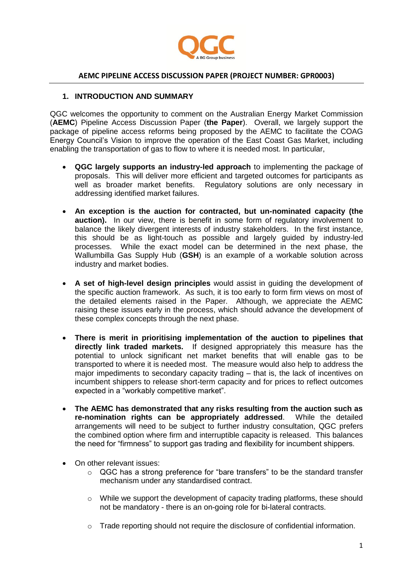

## **AEMC PIPELINE ACCESS DISCUSSION PAPER (PROJECT NUMBER: GPR0003)**

### **1. INTRODUCTION AND SUMMARY**

QGC welcomes the opportunity to comment on the Australian Energy Market Commission (**AEMC**) Pipeline Access Discussion Paper (**the Paper**). Overall, we largely support the package of pipeline access reforms being proposed by the AEMC to facilitate the COAG Energy Council's Vision to improve the operation of the East Coast Gas Market, including enabling the transportation of gas to flow to where it is needed most. In particular,

- **QGC largely supports an industry-led approach** to implementing the package of proposals. This will deliver more efficient and targeted outcomes for participants as well as broader market benefits. Regulatory solutions are only necessary in addressing identified market failures.
- **An exception is the auction for contracted, but un-nominated capacity (the auction).** In our view, there is benefit in some form of regulatory involvement to balance the likely divergent interests of industry stakeholders. In the first instance, this should be as light-touch as possible and largely guided by industry-led processes. While the exact model can be determined in the next phase, the Wallumbilla Gas Supply Hub (**GSH**) is an example of a workable solution across industry and market bodies.
- **A set of high-level design principles** would assist in guiding the development of the specific auction framework. As such, it is too early to form firm views on most of the detailed elements raised in the Paper. Although, we appreciate the AEMC raising these issues early in the process, which should advance the development of these complex concepts through the next phase.
- **There is merit in prioritising implementation of the auction to pipelines that directly link traded markets.** If designed appropriately this measure has the potential to unlock significant net market benefits that will enable gas to be transported to where it is needed most. The measure would also help to address the major impediments to secondary capacity trading – that is, the lack of incentives on incumbent shippers to release short-term capacity and for prices to reflect outcomes expected in a "workably competitive market".
- **The AEMC has demonstrated that any risks resulting from the auction such as re-nomination rights can be appropriately addressed**. While the detailed arrangements will need to be subject to further industry consultation, QGC prefers the combined option where firm and interruptible capacity is released. This balances the need for "firmness" to support gas trading and flexibility for incumbent shippers.
- On other relevant issues:
	- $\circ$  QGC has a strong preference for "bare transfers" to be the standard transfer mechanism under any standardised contract.
	- $\circ$  While we support the development of capacity trading platforms, these should not be mandatory - there is an on-going role for bi-lateral contracts.
	- $\circ$  Trade reporting should not require the disclosure of confidential information.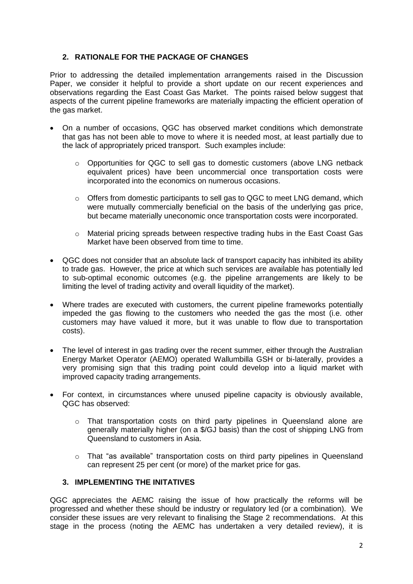# **2. RATIONALE FOR THE PACKAGE OF CHANGES**

Prior to addressing the detailed implementation arrangements raised in the Discussion Paper, we consider it helpful to provide a short update on our recent experiences and observations regarding the East Coast Gas Market. The points raised below suggest that aspects of the current pipeline frameworks are materially impacting the efficient operation of the gas market.

- On a number of occasions, QGC has observed market conditions which demonstrate that gas has not been able to move to where it is needed most, at least partially due to the lack of appropriately priced transport. Such examples include:
	- $\circ$  Opportunities for QGC to sell gas to domestic customers (above LNG netback equivalent prices) have been uncommercial once transportation costs were incorporated into the economics on numerous occasions.
	- $\circ$  Offers from domestic participants to sell gas to QGC to meet LNG demand, which were mutually commercially beneficial on the basis of the underlying gas price, but became materially uneconomic once transportation costs were incorporated.
	- o Material pricing spreads between respective trading hubs in the East Coast Gas Market have been observed from time to time.
- QGC does not consider that an absolute lack of transport capacity has inhibited its ability to trade gas. However, the price at which such services are available has potentially led to sub-optimal economic outcomes (e.g. the pipeline arrangements are likely to be limiting the level of trading activity and overall liquidity of the market).
- Where trades are executed with customers, the current pipeline frameworks potentially impeded the gas flowing to the customers who needed the gas the most (i.e. other customers may have valued it more, but it was unable to flow due to transportation costs).
- The level of interest in gas trading over the recent summer, either through the Australian Energy Market Operator (AEMO) operated Wallumbilla GSH or bi-laterally, provides a very promising sign that this trading point could develop into a liquid market with improved capacity trading arrangements.
- For context, in circumstances where unused pipeline capacity is obviously available, QGC has observed:
	- o That transportation costs on third party pipelines in Queensland alone are generally materially higher (on a \$/GJ basis) than the cost of shipping LNG from Queensland to customers in Asia.
	- o That "as available" transportation costs on third party pipelines in Queensland can represent 25 per cent (or more) of the market price for gas.

# **3. IMPLEMENTING THE INITATIVES**

QGC appreciates the AEMC raising the issue of how practically the reforms will be progressed and whether these should be industry or regulatory led (or a combination). We consider these issues are very relevant to finalising the Stage 2 recommendations. At this stage in the process (noting the AEMC has undertaken a very detailed review), it is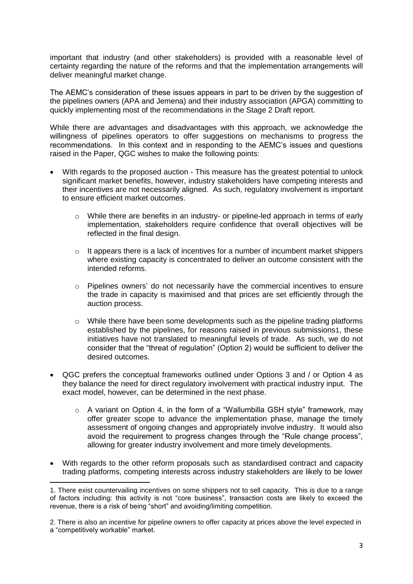important that industry (and other stakeholders) is provided with a reasonable level of certainty regarding the nature of the reforms and that the implementation arrangements will deliver meaningful market change.

The AEMC's consideration of these issues appears in part to be driven by the suggestion of the pipelines owners (APA and Jemena) and their industry association (APGA) committing to quickly implementing most of the recommendations in the Stage 2 Draft report.

While there are advantages and disadvantages with this approach, we acknowledge the willingness of pipelines operators to offer suggestions on mechanisms to progress the recommendations. In this context and in responding to the AEMC's issues and questions raised in the Paper, QGC wishes to make the following points:

- With regards to the proposed auction This measure has the greatest potential to unlock significant market benefits, however, industry stakeholders have competing interests and their incentives are not necessarily aligned. As such, regulatory involvement is important to ensure efficient market outcomes.
	- $\circ$  While there are benefits in an industry- or pipeline-led approach in terms of early implementation, stakeholders require confidence that overall objectives will be reflected in the final design.
	- $\circ$  It appears there is a lack of incentives for a number of incumbent market shippers where existing capacity is concentrated to deliver an outcome consistent with the intended reforms.
	- $\circ$  Pipelines owners' do not necessarily have the commercial incentives to ensure the trade in capacity is maximised and that prices are set efficiently through the auction process.
	- $\circ$  While there have been some developments such as the pipeline trading platforms established by the pipelines, for reasons raised in previous submissions1, these initiatives have not translated to meaningful levels of trade. As such, we do not consider that the "threat of regulation" (Option 2) would be sufficient to deliver the desired outcomes.
- QGC prefers the conceptual frameworks outlined under Options 3 and / or Option 4 as they balance the need for direct regulatory involvement with practical industry input. The exact model, however, can be determined in the next phase.
	- o A variant on Option 4, in the form of a "Wallumbilla GSH style" framework, may offer greater scope to advance the implementation phase, manage the timely assessment of ongoing changes and appropriately involve industry. It would also avoid the requirement to progress changes through the "Rule change process", allowing for greater industry involvement and more timely developments.
- With regards to the other reform proposals such as standardised contract and capacity trading platforms, competing interests across industry stakeholders are likely to be lower

1

<sup>1.</sup> There exist countervailing incentives on some shippers not to sell capacity. This is due to a range of factors including: this activity is not "core business", transaction costs are likely to exceed the revenue, there is a risk of being "short" and avoiding/limiting competition.

<sup>2.</sup> There is also an incentive for pipeline owners to offer capacity at prices above the level expected in a "competitively workable" market.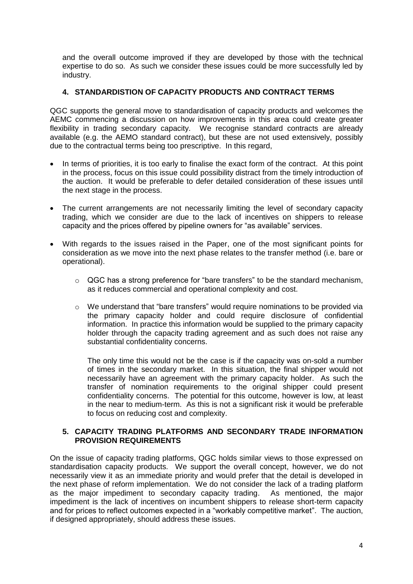and the overall outcome improved if they are developed by those with the technical expertise to do so. As such we consider these issues could be more successfully led by industry.

## **4. STANDARDISTION OF CAPACITY PRODUCTS AND CONTRACT TERMS**

QGC supports the general move to standardisation of capacity products and welcomes the AEMC commencing a discussion on how improvements in this area could create greater flexibility in trading secondary capacity. We recognise standard contracts are already available (e.g. the AEMO standard contract), but these are not used extensively, possibly due to the contractual terms being too prescriptive. In this regard,

- In terms of priorities, it is too early to finalise the exact form of the contract. At this point in the process, focus on this issue could possibility distract from the timely introduction of the auction. It would be preferable to defer detailed consideration of these issues until the next stage in the process.
- The current arrangements are not necessarily limiting the level of secondary capacity trading, which we consider are due to the lack of incentives on shippers to release capacity and the prices offered by pipeline owners for "as available" services.
- With regards to the issues raised in the Paper, one of the most significant points for consideration as we move into the next phase relates to the transfer method (i.e. bare or operational).
	- o QGC has a strong preference for "bare transfers" to be the standard mechanism, as it reduces commercial and operational complexity and cost.
	- o We understand that "bare transfers" would require nominations to be provided via the primary capacity holder and could require disclosure of confidential information. In practice this information would be supplied to the primary capacity holder through the capacity trading agreement and as such does not raise any substantial confidentiality concerns.

The only time this would not be the case is if the capacity was on-sold a number of times in the secondary market. In this situation, the final shipper would not necessarily have an agreement with the primary capacity holder. As such the transfer of nomination requirements to the original shipper could present confidentiality concerns. The potential for this outcome, however is low, at least in the near to medium-term. As this is not a significant risk it would be preferable to focus on reducing cost and complexity.

## **5. CAPACITY TRADING PLATFORMS AND SECONDARY TRADE INFORMATION PROVISION REQUIREMENTS**

On the issue of capacity trading platforms, QGC holds similar views to those expressed on standardisation capacity products. We support the overall concept, however, we do not necessarily view it as an immediate priority and would prefer that the detail is developed in the next phase of reform implementation. We do not consider the lack of a trading platform as the major impediment to secondary capacity trading. As mentioned, the major impediment is the lack of incentives on incumbent shippers to release short-term capacity and for prices to reflect outcomes expected in a "workably competitive market". The auction, if designed appropriately, should address these issues.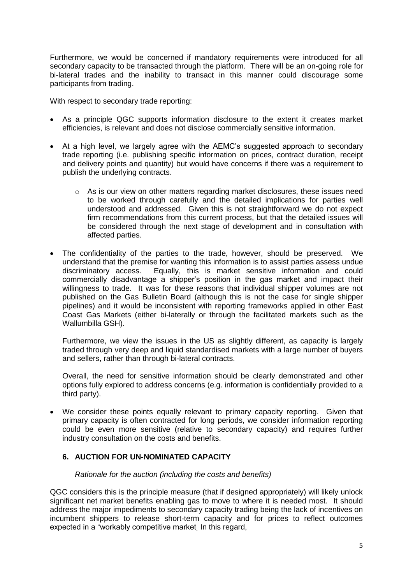Furthermore, we would be concerned if mandatory requirements were introduced for all secondary capacity to be transacted through the platform. There will be an on-going role for bi-lateral trades and the inability to transact in this manner could discourage some participants from trading.

With respect to secondary trade reporting:

- As a principle QGC supports information disclosure to the extent it creates market efficiencies, is relevant and does not disclose commercially sensitive information.
- At a high level, we largely agree with the AEMC's suggested approach to secondary trade reporting (i.e. publishing specific information on prices, contract duration, receipt and delivery points and quantity) but would have concerns if there was a requirement to publish the underlying contracts.
	- o As is our view on other matters regarding market disclosures, these issues need to be worked through carefully and the detailed implications for parties well understood and addressed. Given this is not straightforward we do not expect firm recommendations from this current process, but that the detailed issues will be considered through the next stage of development and in consultation with affected parties.
- The confidentiality of the parties to the trade, however, should be preserved. We understand that the premise for wanting this information is to assist parties assess undue discriminatory access. Equally, this is market sensitive information and could commercially disadvantage a shipper's position in the gas market and impact their willingness to trade. It was for these reasons that individual shipper volumes are not published on the Gas Bulletin Board (although this is not the case for single shipper pipelines) and it would be inconsistent with reporting frameworks applied in other East Coast Gas Markets (either bi-laterally or through the facilitated markets such as the Wallumbilla GSH).

Furthermore, we view the issues in the US as slightly different, as capacity is largely traded through very deep and liquid standardised markets with a large number of buyers and sellers, rather than through bi-lateral contracts.

Overall, the need for sensitive information should be clearly demonstrated and other options fully explored to address concerns (e.g. information is confidentially provided to a third party).

 We consider these points equally relevant to primary capacity reporting. Given that primary capacity is often contracted for long periods, we consider information reporting could be even more sensitive (relative to secondary capacity) and requires further industry consultation on the costs and benefits.

# **6. AUCTION FOR UN-NOMINATED CAPACITY**

## *Rationale for the auction (including the costs and benefits)*

QGC considers this is the principle measure (that if designed appropriately) will likely unlock significant net market benefits enabling gas to move to where it is needed most. It should address the major impediments to secondary capacity trading being the lack of incentives on incumbent shippers to release short-term capacity and for prices to reflect outcomes expected in a "workably competitive market. In this regard,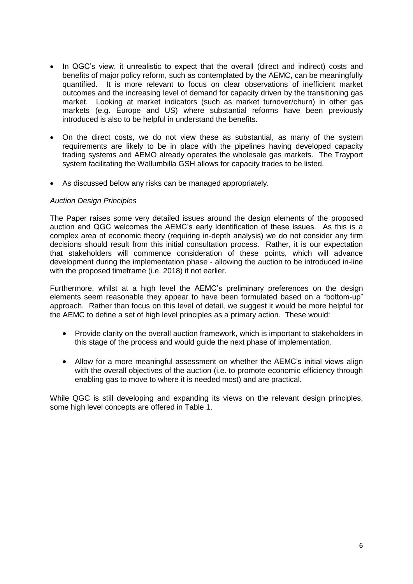- In QGC's view, it unrealistic to expect that the overall (direct and indirect) costs and benefits of major policy reform, such as contemplated by the AEMC, can be meaningfully quantified. It is more relevant to focus on clear observations of inefficient market outcomes and the increasing level of demand for capacity driven by the transitioning gas market. Looking at market indicators (such as market turnover/churn) in other gas markets (e.g. Europe and US) where substantial reforms have been previously introduced is also to be helpful in understand the benefits.
- On the direct costs, we do not view these as substantial, as many of the system requirements are likely to be in place with the pipelines having developed capacity trading systems and AEMO already operates the wholesale gas markets. The Trayport system facilitating the Wallumbilla GSH allows for capacity trades to be listed.
- As discussed below any risks can be managed appropriately.

#### *Auction Design Principles*

The Paper raises some very detailed issues around the design elements of the proposed auction and QGC welcomes the AEMC's early identification of these issues. As this is a complex area of economic theory (requiring in-depth analysis) we do not consider any firm decisions should result from this initial consultation process. Rather, it is our expectation that stakeholders will commence consideration of these points, which will advance development during the implementation phase - allowing the auction to be introduced in-line with the proposed timeframe (i.e. 2018) if not earlier.

Furthermore, whilst at a high level the AEMC's preliminary preferences on the design elements seem reasonable they appear to have been formulated based on a "bottom-up" approach. Rather than focus on this level of detail, we suggest it would be more helpful for the AEMC to define a set of high level principles as a primary action. These would:

- Provide clarity on the overall auction framework, which is important to stakeholders in this stage of the process and would guide the next phase of implementation.
- Allow for a more meaningful assessment on whether the AEMC's initial views align with the overall objectives of the auction (i.e. to promote economic efficiency through enabling gas to move to where it is needed most) and are practical.

While QGC is still developing and expanding its views on the relevant design principles, some high level concepts are offered in Table 1.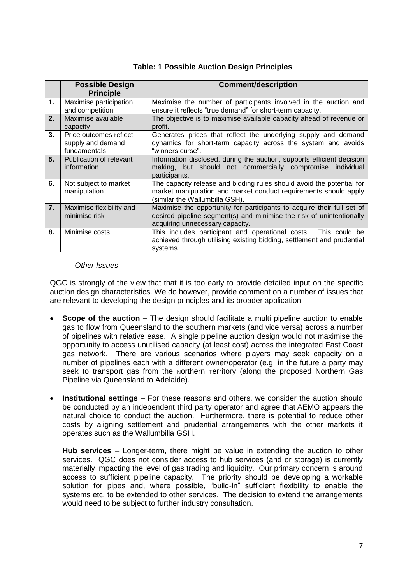# **Table: 1 Possible Auction Design Principles**

|    | <b>Possible Design</b><br><b>Principle</b>                  | <b>Comment/description</b>                                                                                                                                                        |  |
|----|-------------------------------------------------------------|-----------------------------------------------------------------------------------------------------------------------------------------------------------------------------------|--|
| 1. | Maximise participation<br>and competition                   | Maximise the number of participants involved in the auction and<br>ensure it reflects "true demand" for short-term capacity.                                                      |  |
| 2. | Maximise available<br>capacity                              | The objective is to maximise available capacity ahead of revenue or<br>profit.                                                                                                    |  |
| 3. | Price outcomes reflect<br>supply and demand<br>fundamentals | Generates prices that reflect the underlying supply and demand<br>dynamics for short-term capacity across the system and avoids<br>"winners curse".                               |  |
| 5. | Publication of relevant<br>information                      | Information disclosed, during the auction, supports efficient decision<br>making, but should not commercially compromise individual<br>participants.                              |  |
| 6. | Not subject to market<br>manipulation                       | The capacity release and bidding rules should avoid the potential for<br>market manipulation and market conduct requirements should apply<br>(similar the Wallumbilla GSH).       |  |
| 7. | Maximise flexibility and<br>minimise risk                   | Maximise the opportunity for participants to acquire their full set of<br>desired pipeline segment(s) and minimise the risk of unintentionally<br>acquiring unnecessary capacity. |  |
| 8. | Minimise costs                                              | This includes participant and operational costs. This could be<br>achieved through utilising existing bidding, settlement and prudential<br>systems.                              |  |

#### *Other Issues*

QGC is strongly of the view that that it is too early to provide detailed input on the specific auction design characteristics. We do however, provide comment on a number of issues that are relevant to developing the design principles and its broader application:

- **Scope of the auction** The design should facilitate a multi pipeline auction to enable gas to flow from Queensland to the southern markets (and vice versa) across a number of pipelines with relative ease. A single pipeline auction design would not maximise the opportunity to access unutilised capacity (at least cost) across the integrated East Coast gas network. There are various scenarios where players may seek capacity on a number of pipelines each with a different owner/operator (e.g. in the future a party may seek to transport gas from the Northern Territory (along the proposed Northern Gas Pipeline via Queensland to Adelaide).
- **Institutional settings** For these reasons and others, we consider the auction should be conducted by an independent third party operator and agree that AEMO appears the natural choice to conduct the auction. Furthermore, there is potential to reduce other costs by aligning settlement and prudential arrangements with the other markets it operates such as the Wallumbilla GSH.

**Hub services** – Longer-term, there might be value in extending the auction to other services. QGC does not consider access to hub services (and or storage) is currently materially impacting the level of gas trading and liquidity. Our primary concern is around access to sufficient pipeline capacity. The priority should be developing a workable solution for pipes and, where possible, "build-in" sufficient flexibility to enable the systems etc. to be extended to other services. The decision to extend the arrangements would need to be subject to further industry consultation.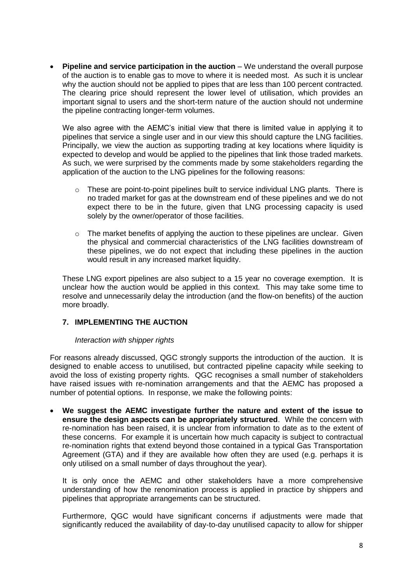**Pipeline and service participation in the auction** – We understand the overall purpose of the auction is to enable gas to move to where it is needed most. As such it is unclear why the auction should not be applied to pipes that are less than 100 percent contracted. The clearing price should represent the lower level of utilisation, which provides an important signal to users and the short-term nature of the auction should not undermine the pipeline contracting longer-term volumes.

We also agree with the AEMC's initial view that there is limited value in applying it to pipelines that service a single user and in our view this should capture the LNG facilities. Principally, we view the auction as supporting trading at key locations where liquidity is expected to develop and would be applied to the pipelines that link those traded markets. As such, we were surprised by the comments made by some stakeholders regarding the application of the auction to the LNG pipelines for the following reasons:

- $\circ$  These are point-to-point pipelines built to service individual LNG plants. There is no traded market for gas at the downstream end of these pipelines and we do not expect there to be in the future, given that LNG processing capacity is used solely by the owner/operator of those facilities.
- $\circ$  The market benefits of applying the auction to these pipelines are unclear. Given the physical and commercial characteristics of the LNG facilities downstream of these pipelines, we do not expect that including these pipelines in the auction would result in any increased market liquidity.

These LNG export pipelines are also subject to a 15 year no coverage exemption. It is unclear how the auction would be applied in this context. This may take some time to resolve and unnecessarily delay the introduction (and the flow-on benefits) of the auction more broadly.

# **7. IMPLEMENTING THE AUCTION**

## *Interaction with shipper rights*

For reasons already discussed, QGC strongly supports the introduction of the auction. It is designed to enable access to unutilised, but contracted pipeline capacity while seeking to avoid the loss of existing property rights.QGC recognises a small number of stakeholders have raised issues with re-nomination arrangements and that the AEMC has proposed a number of potential options. In response, we make the following points:

 **We suggest the AEMC investigate further the nature and extent of the issue to ensure the design aspects can be appropriately structured**. While the concern with re-nomination has been raised, it is unclear from information to date as to the extent of these concerns. For example it is uncertain how much capacity is subject to contractual re-nomination rights that extend beyond those contained in a typical Gas Transportation Agreement (GTA) and if they are available how often they are used (e.g. perhaps it is only utilised on a small number of days throughout the year).

It is only once the AEMC and other stakeholders have a more comprehensive understanding of how the renomination process is applied in practice by shippers and pipelines that appropriate arrangements can be structured.

Furthermore, QGC would have significant concerns if adjustments were made that significantly reduced the availability of day-to-day unutilised capacity to allow for shipper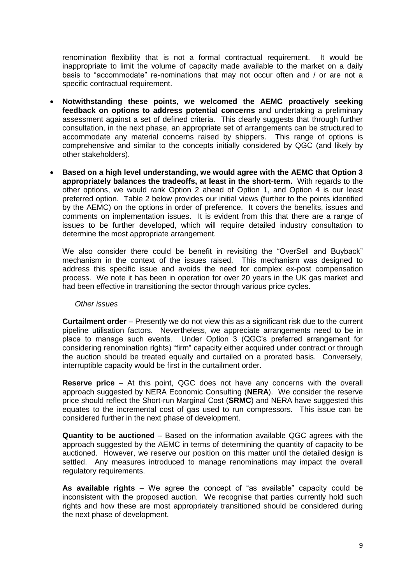renomination flexibility that is not a formal contractual requirement. It would be inappropriate to limit the volume of capacity made available to the market on a daily basis to "accommodate" re-nominations that may not occur often and / or are not a specific contractual requirement.

- **Notwithstanding these points, we welcomed the AEMC proactively seeking feedback on options to address potential concerns** and undertaking a preliminary assessment against a set of defined criteria. This clearly suggests that through further consultation, in the next phase, an appropriate set of arrangements can be structured to accommodate any material concerns raised by shippers. This range of options is comprehensive and similar to the concepts initially considered by QGC (and likely by other stakeholders).
- **Based on a high level understanding, we would agree with the AEMC that Option 3 appropriately balances the tradeoffs, at least in the short-term.** With regards to the other options, we would rank Option 2 ahead of Option 1, and Option 4 is our least preferred option. Table 2 below provides our initial views (further to the points identified by the AEMC) on the options in order of preference. It covers the benefits, issues and comments on implementation issues. It is evident from this that there are a range of issues to be further developed, which will require detailed industry consultation to determine the most appropriate arrangement.

We also consider there could be benefit in revisiting the "OverSell and Buyback" mechanism in the context of the issues raised. This mechanism was designed to address this specific issue and avoids the need for complex ex-post compensation process. We note it has been in operation for over 20 years in the UK gas market and had been effective in transitioning the sector through various price cycles.

## *Other issues*

**Curtailment order** – Presently we do not view this as a significant risk due to the current pipeline utilisation factors. Nevertheless, we appreciate arrangements need to be in place to manage such events. Under Option 3 (QGC's preferred arrangement for considering renomination rights) "firm" capacity either acquired under contract or through the auction should be treated equally and curtailed on a prorated basis. Conversely, interruptible capacity would be first in the curtailment order.

**Reserve price** – At this point, QGC does not have any concerns with the overall approach suggested by NERA Economic Consulting (**NERA**). We consider the reserve price should reflect the Short-run Marginal Cost (**SRMC**) and NERA have suggested this equates to the incremental cost of gas used to run compressors. This issue can be considered further in the next phase of development.

**Quantity to be auctioned** – Based on the information available QGC agrees with the approach suggested by the AEMC in terms of determining the quantity of capacity to be auctioned. However, we reserve our position on this matter until the detailed design is settled. Any measures introduced to manage renominations may impact the overall regulatory requirements.

**As available rights** – We agree the concept of "as available" capacity could be inconsistent with the proposed auction. We recognise that parties currently hold such rights and how these are most appropriately transitioned should be considered during the next phase of development.